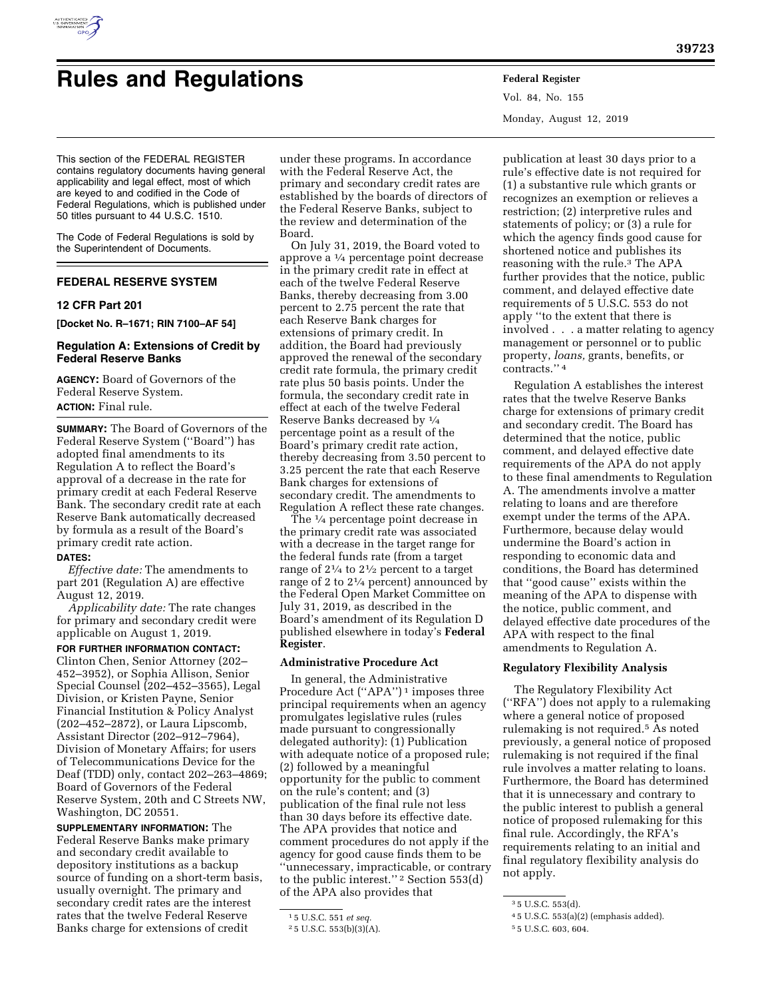

# **Rules and Regulations Federal Register**

Vol. 84, No. 155 Monday, August 12, 2019

This section of the FEDERAL REGISTER contains regulatory documents having general applicability and legal effect, most of which are keyed to and codified in the Code of Federal Regulations, which is published under 50 titles pursuant to 44 U.S.C. 1510.

The Code of Federal Regulations is sold by the Superintendent of Documents.

# **FEDERAL RESERVE SYSTEM**

#### **12 CFR Part 201**

**[Docket No. R–1671; RIN 7100–AF 54]** 

#### **Regulation A: Extensions of Credit by Federal Reserve Banks**

**AGENCY:** Board of Governors of the Federal Reserve System. **ACTION:** Final rule.

**SUMMARY:** The Board of Governors of the Federal Reserve System (''Board'') has adopted final amendments to its Regulation A to reflect the Board's approval of a decrease in the rate for primary credit at each Federal Reserve Bank. The secondary credit rate at each Reserve Bank automatically decreased by formula as a result of the Board's primary credit rate action.

#### **DATES:**

*Effective date:* The amendments to part 201 (Regulation A) are effective August 12, 2019.

*Applicability date:* The rate changes for primary and secondary credit were applicable on August 1, 2019.

**FOR FURTHER INFORMATION CONTACT:**  Clinton Chen, Senior Attorney (202– 452–3952), or Sophia Allison, Senior Special Counsel (202–452–3565), Legal Division, or Kristen Payne, Senior Financial Institution & Policy Analyst (202–452–2872), or Laura Lipscomb, Assistant Director (202–912–7964), Division of Monetary Affairs; for users of Telecommunications Device for the Deaf (TDD) only, contact 202–263–4869; Board of Governors of the Federal Reserve System, 20th and C Streets NW, Washington, DC 20551.

**SUPPLEMENTARY INFORMATION:** The Federal Reserve Banks make primary and secondary credit available to depository institutions as a backup source of funding on a short-term basis, usually overnight. The primary and secondary credit rates are the interest rates that the twelve Federal Reserve Banks charge for extensions of credit

under these programs. In accordance with the Federal Reserve Act, the primary and secondary credit rates are established by the boards of directors of the Federal Reserve Banks, subject to the review and determination of the Board.

On July 31, 2019, the Board voted to approve a 1⁄4 percentage point decrease in the primary credit rate in effect at each of the twelve Federal Reserve Banks, thereby decreasing from 3.00 percent to 2.75 percent the rate that each Reserve Bank charges for extensions of primary credit. In addition, the Board had previously approved the renewal of the secondary credit rate formula, the primary credit rate plus 50 basis points. Under the formula, the secondary credit rate in effect at each of the twelve Federal Reserve Banks decreased by 1⁄4 percentage point as a result of the Board's primary credit rate action, thereby decreasing from 3.50 percent to 3.25 percent the rate that each Reserve Bank charges for extensions of secondary credit. The amendments to Regulation A reflect these rate changes.

The 1⁄4 percentage point decrease in the primary credit rate was associated with a decrease in the target range for the federal funds rate (from a target range of 21⁄4 to 21⁄2 percent to a target range of 2 to  $2\frac{1}{4}$  percent) announced by the Federal Open Market Committee on July 31, 2019, as described in the Board's amendment of its Regulation D published elsewhere in today's **Federal Register**.

# **Administrative Procedure Act**

In general, the Administrative Procedure Act (''APA'') 1 imposes three principal requirements when an agency promulgates legislative rules (rules made pursuant to congressionally delegated authority): (1) Publication with adequate notice of a proposed rule; (2) followed by a meaningful opportunity for the public to comment on the rule's content; and (3) publication of the final rule not less than 30 days before its effective date. The APA provides that notice and comment procedures do not apply if the agency for good cause finds them to be ''unnecessary, impracticable, or contrary to the public interest.'' 2 Section 553(d) of the APA also provides that

publication at least 30 days prior to a rule's effective date is not required for (1) a substantive rule which grants or recognizes an exemption or relieves a restriction; (2) interpretive rules and statements of policy; or (3) a rule for which the agency finds good cause for shortened notice and publishes its reasoning with the rule.3 The APA further provides that the notice, public comment, and delayed effective date requirements of 5 U.S.C. 553 do not apply ''to the extent that there is involved . . . a matter relating to agency management or personnel or to public property, *loans,* grants, benefits, or contracts.'' 4

Regulation A establishes the interest rates that the twelve Reserve Banks charge for extensions of primary credit and secondary credit. The Board has determined that the notice, public comment, and delayed effective date requirements of the APA do not apply to these final amendments to Regulation A. The amendments involve a matter relating to loans and are therefore exempt under the terms of the APA. Furthermore, because delay would undermine the Board's action in responding to economic data and conditions, the Board has determined that ''good cause'' exists within the meaning of the APA to dispense with the notice, public comment, and delayed effective date procedures of the APA with respect to the final amendments to Regulation A.

#### **Regulatory Flexibility Analysis**

The Regulatory Flexibility Act (''RFA'') does not apply to a rulemaking where a general notice of proposed rulemaking is not required.5 As noted previously, a general notice of proposed rulemaking is not required if the final rule involves a matter relating to loans. Furthermore, the Board has determined that it is unnecessary and contrary to the public interest to publish a general notice of proposed rulemaking for this final rule. Accordingly, the RFA's requirements relating to an initial and final regulatory flexibility analysis do not apply.

<sup>1</sup> 5 U.S.C. 551 *et seq.* 

<sup>2</sup> 5 U.S.C. 553(b)(3)(A).

<sup>3</sup> 5 U.S.C. 553(d).

<sup>4</sup> 5 U.S.C. 553(a)(2) (emphasis added).

<sup>5</sup> 5 U.S.C. 603, 604.